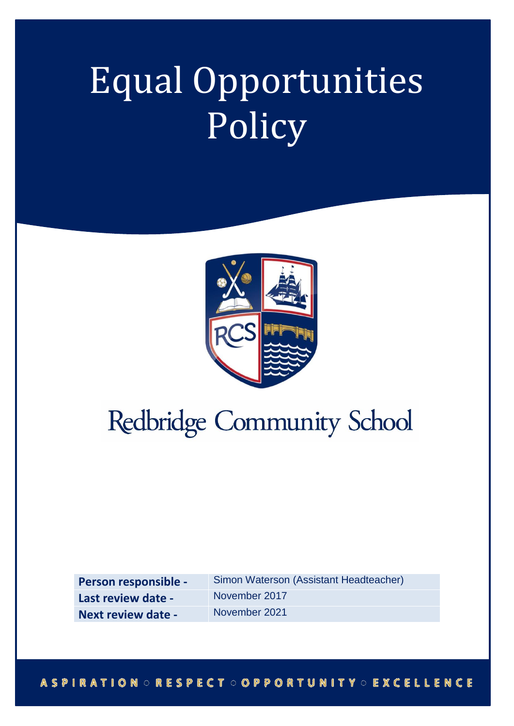# Equal Opportunities Policy



# Redbridge Community School

**Person responsible - Simon Waterson (Assistant Headteacher) Last review date -** November 2017 **Next review date -** November 2021

# **ASPIRATION ORESPECT OOPPORTUNITY OEXCELLENCE**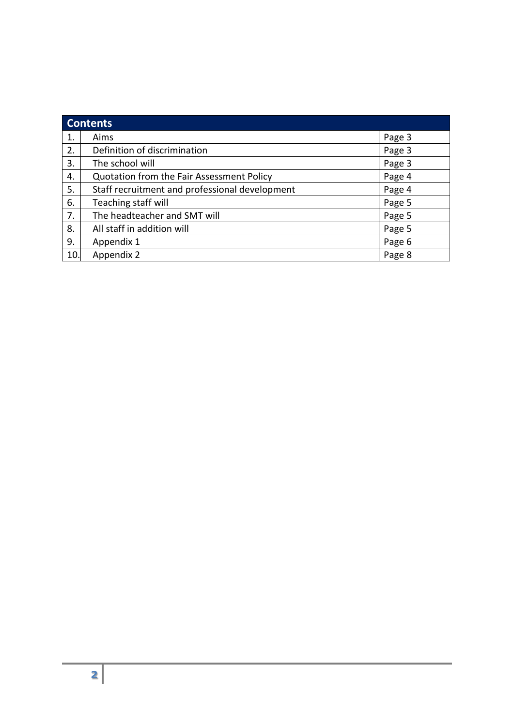| <b>Contents</b> |                                                |        |
|-----------------|------------------------------------------------|--------|
| 1.              | Aims                                           | Page 3 |
| 2.              | Definition of discrimination                   | Page 3 |
| 3.              | The school will                                | Page 3 |
| 4.              | Quotation from the Fair Assessment Policy      | Page 4 |
| 5.              | Staff recruitment and professional development | Page 4 |
| 6.              | Teaching staff will                            | Page 5 |
| 7.              | The headteacher and SMT will                   | Page 5 |
| 8.              | All staff in addition will                     | Page 5 |
| 9.              | Appendix 1                                     | Page 6 |
| 10.             | Appendix 2                                     | Page 8 |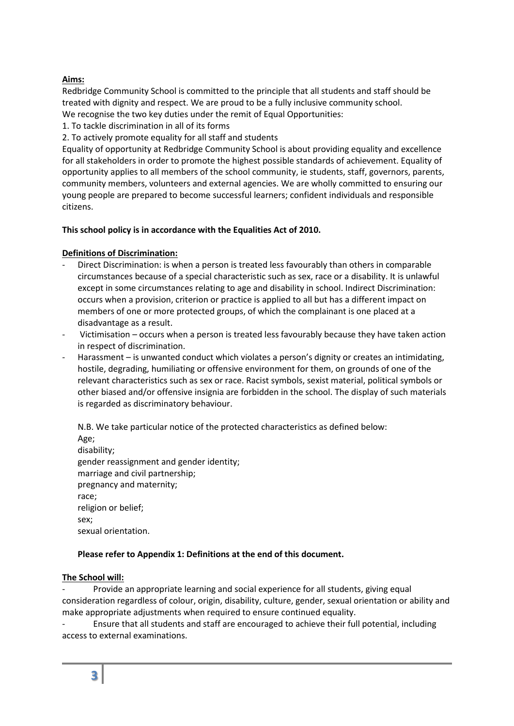# **Aims:**

Redbridge Community School is committed to the principle that all students and staff should be treated with dignity and respect. We are proud to be a fully inclusive community school. We recognise the two key duties under the remit of Equal Opportunities:

1. To tackle discrimination in all of its forms

2. To actively promote equality for all staff and students

Equality of opportunity at Redbridge Community School is about providing equality and excellence for all stakeholders in order to promote the highest possible standards of achievement. Equality of opportunity applies to all members of the school community, ie students, staff, governors, parents, community members, volunteers and external agencies. We are wholly committed to ensuring our young people are prepared to become successful learners; confident individuals and responsible citizens.

# **This school policy is in accordance with the Equalities Act of 2010.**

# **Definitions of Discrimination:**

- Direct Discrimination: is when a person is treated less favourably than others in comparable circumstances because of a special characteristic such as sex, race or a disability. It is unlawful except in some circumstances relating to age and disability in school. Indirect Discrimination: occurs when a provision, criterion or practice is applied to all but has a different impact on members of one or more protected groups, of which the complainant is one placed at a disadvantage as a result.
- Victimisation occurs when a person is treated less favourably because they have taken action in respect of discrimination.
- Harassment is unwanted conduct which violates a person's dignity or creates an intimidating, hostile, degrading, humiliating or offensive environment for them, on grounds of one of the relevant characteristics such as sex or race. Racist symbols, sexist material, political symbols or other biased and/or offensive insignia are forbidden in the school. The display of such materials is regarded as discriminatory behaviour.

N.B. We take particular notice of the protected characteristics as defined below: Age; disability; gender reassignment and gender identity; marriage and civil partnership; pregnancy and maternity; race; religion or belief;

sex; sexual orientation.

# **Please refer to Appendix 1: Definitions at the end of this document.**

#### **The School will:**

Provide an appropriate learning and social experience for all students, giving equal consideration regardless of colour, origin, disability, culture, gender, sexual orientation or ability and make appropriate adjustments when required to ensure continued equality.

- Ensure that all students and staff are encouraged to achieve their full potential, including access to external examinations.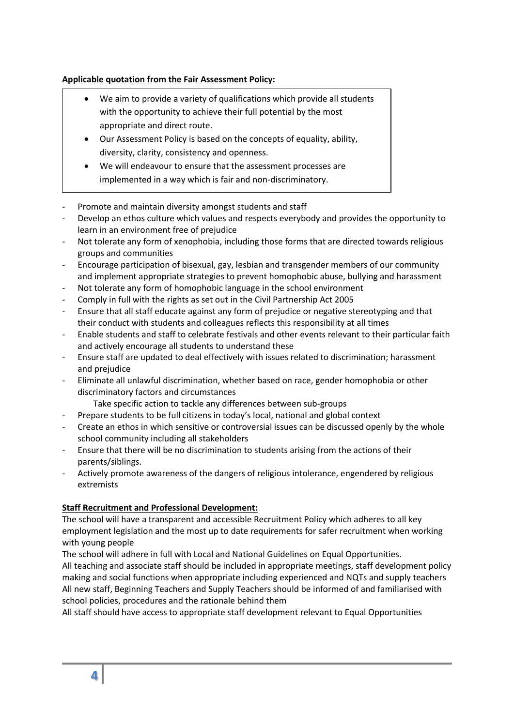# **Applicable quotation from the Fair Assessment Policy:**

- We aim to provide a variety of qualifications which provide all students with the opportunity to achieve their full potential by the most appropriate and direct route.
- Our Assessment Policy is based on the concepts of equality, ability, diversity, clarity, consistency and openness.
- We will endeavour to ensure that the assessment processes are implemented in a way which is fair and non-discriminatory.
- Promote and maintain diversity amongst students and staff
- Develop an ethos culture which values and respects everybody and provides the opportunity to learn in an environment free of prejudice
- Not tolerate any form of xenophobia, including those forms that are directed towards religious groups and communities
- Encourage participation of bisexual, gay, lesbian and transgender members of our community and implement appropriate strategies to prevent homophobic abuse, bullying and harassment
- Not tolerate any form of homophobic language in the school environment
- Comply in full with the rights as set out in the Civil Partnership Act 2005
- Ensure that all staff educate against any form of prejudice or negative stereotyping and that their conduct with students and colleagues reflects this responsibility at all times
- Enable students and staff to celebrate festivals and other events relevant to their particular faith and actively encourage all students to understand these
- Ensure staff are updated to deal effectively with issues related to discrimination; harassment and prejudice
- Eliminate all unlawful discrimination, whether based on race, gender homophobia or other discriminatory factors and circumstances
	- Take specific action to tackle any differences between sub-groups
- Prepare students to be full citizens in today's local, national and global context
- Create an ethos in which sensitive or controversial issues can be discussed openly by the whole school community including all stakeholders
- Ensure that there will be no discrimination to students arising from the actions of their parents/siblings.
- Actively promote awareness of the dangers of religious intolerance, engendered by religious extremists

#### **Staff Recruitment and Professional Development:**

The school will have a transparent and accessible Recruitment Policy which adheres to all key employment legislation and the most up to date requirements for safer recruitment when working with young people

The school will adhere in full with Local and National Guidelines on Equal Opportunities. All teaching and associate staff should be included in appropriate meetings, staff development policy making and social functions when appropriate including experienced and NQTs and supply teachers All new staff, Beginning Teachers and Supply Teachers should be informed of and familiarised with school policies, procedures and the rationale behind them

All staff should have access to appropriate staff development relevant to Equal Opportunities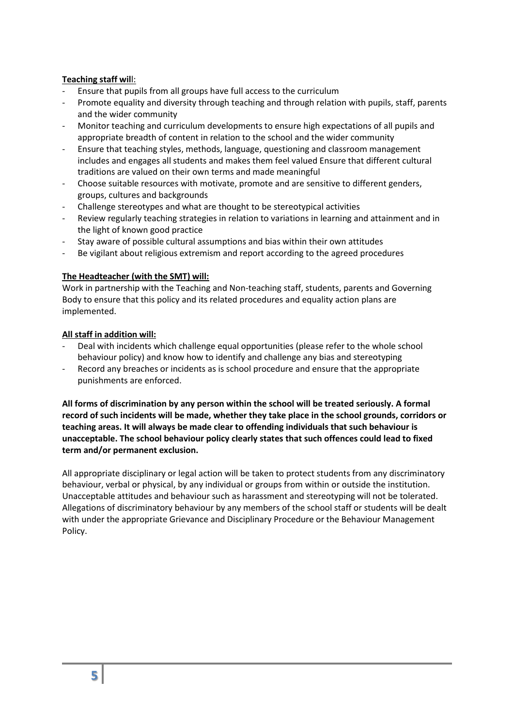#### **Teaching staff wil**l:

- Ensure that pupils from all groups have full access to the curriculum
- Promote equality and diversity through teaching and through relation with pupils, staff, parents and the wider community
- Monitor teaching and curriculum developments to ensure high expectations of all pupils and appropriate breadth of content in relation to the school and the wider community
- Ensure that teaching styles, methods, language, questioning and classroom management includes and engages all students and makes them feel valued Ensure that different cultural traditions are valued on their own terms and made meaningful
- Choose suitable resources with motivate, promote and are sensitive to different genders, groups, cultures and backgrounds
- Challenge stereotypes and what are thought to be stereotypical activities
- Review regularly teaching strategies in relation to variations in learning and attainment and in the light of known good practice
- Stay aware of possible cultural assumptions and bias within their own attitudes
- Be vigilant about religious extremism and report according to the agreed procedures

#### **The Headteacher (with the SMT) will:**

Work in partnership with the Teaching and Non-teaching staff, students, parents and Governing Body to ensure that this policy and its related procedures and equality action plans are implemented.

#### **All staff in addition will:**

- Deal with incidents which challenge equal opportunities (please refer to the whole school behaviour policy) and know how to identify and challenge any bias and stereotyping
- Record any breaches or incidents as is school procedure and ensure that the appropriate punishments are enforced.

**All forms of discrimination by any person within the school will be treated seriously. A formal record of such incidents will be made, whether they take place in the school grounds, corridors or teaching areas. It will always be made clear to offending individuals that such behaviour is unacceptable. The school behaviour policy clearly states that such offences could lead to fixed term and/or permanent exclusion.**

All appropriate disciplinary or legal action will be taken to protect students from any discriminatory behaviour, verbal or physical, by any individual or groups from within or outside the institution. Unacceptable attitudes and behaviour such as harassment and stereotyping will not be tolerated. Allegations of discriminatory behaviour by any members of the school staff or students will be dealt with under the appropriate Grievance and Disciplinary Procedure or the Behaviour Management Policy.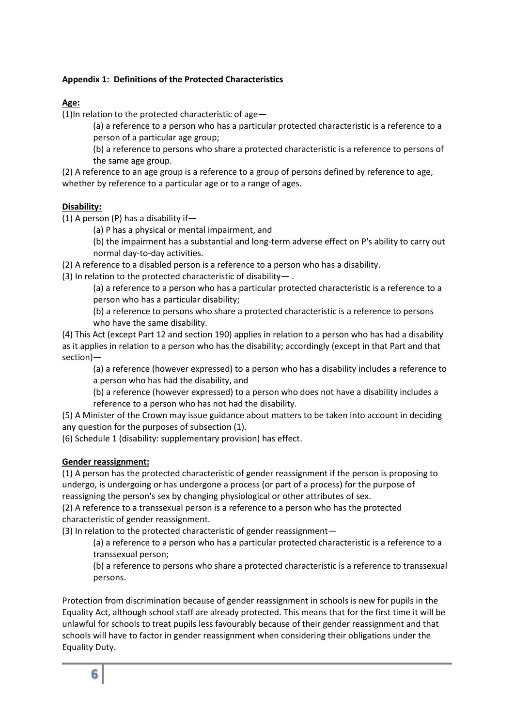### **Appendix 1: Definitions of the Protected Characteristics**

# **Age:**

(1)In relation to the protected characteristic of age—

(a) a reference to a person who has a particular protected characteristic is a reference to a person of a particular age group;

(b) a reference to persons who share a protected characteristic is a reference to persons of the same age group.

(2) A reference to an age group is a reference to a group of persons defined by reference to age, whether by reference to a particular age or to a range of ages.

#### **Disability:**

(1) A person (P) has a disability if—

(a) P has a physical or mental impairment, and

(b) the impairment has a substantial and long-term adverse effect on P's ability to carry out normal day-to-day activities.

(2) A reference to a disabled person is a reference to a person who has a disability.

(3) In relation to the protected characteristic of disability— .

(a) a reference to a person who has a particular protected characteristic is a reference to a person who has a particular disability;

(b) a reference to persons who share a protected characteristic is a reference to persons who have the same disability.

(4) This Act (except Part 12 and section 190) applies in relation to a person who has had a disability as it applies in relation to a person who has the disability; accordingly (except in that Part and that section)—

(a) a reference (however expressed) to a person who has a disability includes a reference to a person who has had the disability, and

(b) a reference (however expressed) to a person who does not have a disability includes a reference to a person who has not had the disability.

(5) A Minister of the Crown may issue guidance about matters to be taken into account in deciding any question for the purposes of subsection (1).

(6) Schedule 1 (disability: supplementary provision) has effect.

#### **Gender reassignment:**

(1) A person has the protected characteristic of gender reassignment if the person is proposing to undergo, is undergoing or has undergone a process (or part of a process) for the purpose of reassigning the person's sex by changing physiological or other attributes of sex.

(2) A reference to a transsexual person is a reference to a person who has the protected characteristic of gender reassignment.

(3) In relation to the protected characteristic of gender reassignment—

(a) a reference to a person who has a particular protected characteristic is a reference to a transsexual person;

(b) a reference to persons who share a protected characteristic is a reference to transsexual persons.

Protection from discrimination because of gender reassignment in schools is new for pupils in the Equality Act, although school staff are already protected. This means that for the first time it will be unlawful for schools to treat pupils less favourably because of their gender reassignment and that schools will have to factor in gender reassignment when considering their obligations under the Equality Duty.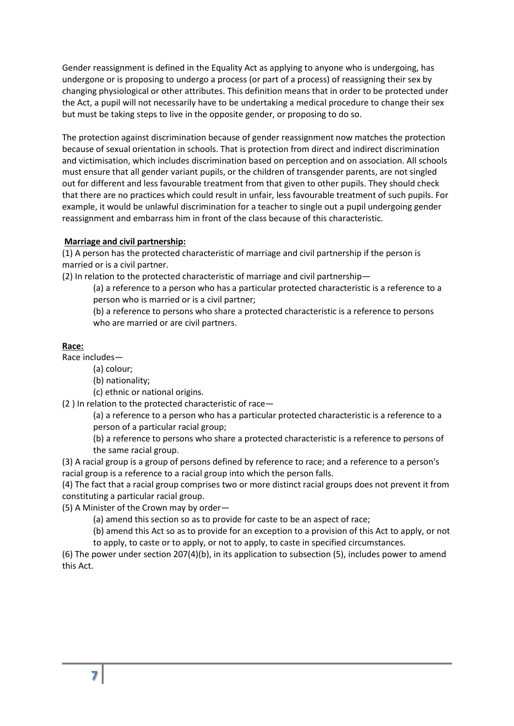Gender reassignment is defined in the Equality Act as applying to anyone who is undergoing, has undergone or is proposing to undergo a process (or part of a process) of reassigning their sex by changing physiological or other attributes. This definition means that in order to be protected under the Act, a pupil will not necessarily have to be undertaking a medical procedure to change their sex but must be taking steps to live in the opposite gender, or proposing to do so.

The protection against discrimination because of gender reassignment now matches the protection because of sexual orientation in schools. That is protection from direct and indirect discrimination and victimisation, which includes discrimination based on perception and on association. All schools must ensure that all gender variant pupils, or the children of transgender parents, are not singled out for different and less favourable treatment from that given to other pupils. They should check that there are no practices which could result in unfair, less favourable treatment of such pupils. For example, it would be unlawful discrimination for a teacher to single out a pupil undergoing gender reassignment and embarrass him in front of the class because of this characteristic.

#### **Marriage and civil partnership:**

(1) A person has the protected characteristic of marriage and civil partnership if the person is married or is a civil partner.

(2) In relation to the protected characteristic of marriage and civil partnership—

(a) a reference to a person who has a particular protected characteristic is a reference to a person who is married or is a civil partner;

(b) a reference to persons who share a protected characteristic is a reference to persons who are married or are civil partners.

#### **Race:**

Race includes—

(a) colour;

(b) nationality;

(c) ethnic or national origins.

(2 ) In relation to the protected characteristic of race—

(a) a reference to a person who has a particular protected characteristic is a reference to a person of a particular racial group;

(b) a reference to persons who share a protected characteristic is a reference to persons of the same racial group.

(3) A racial group is a group of persons defined by reference to race; and a reference to a person's racial group is a reference to a racial group into which the person falls.

(4) The fact that a racial group comprises two or more distinct racial groups does not prevent it from constituting a particular racial group.

(5) A Minister of the Crown may by order—

(a) amend this section so as to provide for caste to be an aspect of race;

(b) amend this Act so as to provide for an exception to a provision of this Act to apply, or not

to apply, to caste or to apply, or not to apply, to caste in specified circumstances.

(6) The power under section 207(4)(b), in its application to subsection (5), includes power to amend this Act.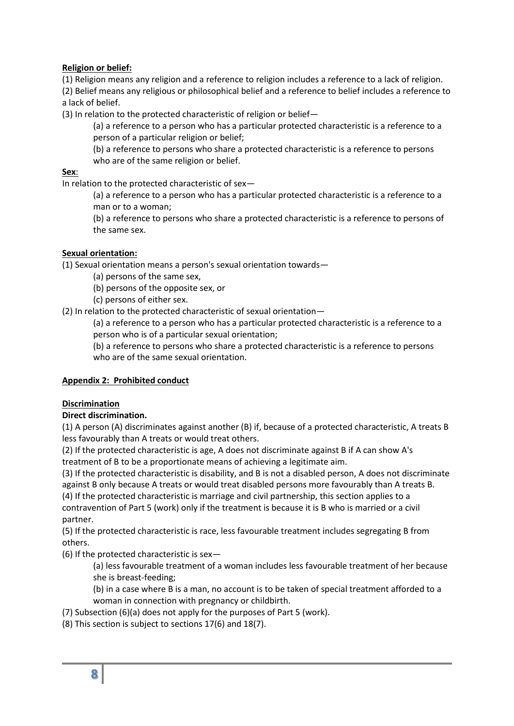# **Religion or belief:**

(1) Religion means any religion and a reference to religion includes a reference to a lack of religion. (2) Belief means any religious or philosophical belief and a reference to belief includes a reference to a lack of belief.

(3) In relation to the protected characteristic of religion or belief—

(a) a reference to a person who has a particular protected characteristic is a reference to a person of a particular religion or belief;

(b) a reference to persons who share a protected characteristic is a reference to persons who are of the same religion or belief.

### **Sex**:

In relation to the protected characteristic of sex—

(a) a reference to a person who has a particular protected characteristic is a reference to a man or to a woman;

(b) a reference to persons who share a protected characteristic is a reference to persons of the same sex.

# **Sexual orientation:**

(1) Sexual orientation means a person's sexual orientation towards—

(a) persons of the same sex,

(b) persons of the opposite sex, or

(c) persons of either sex.

(2) In relation to the protected characteristic of sexual orientation—

(a) a reference to a person who has a particular protected characteristic is a reference to a person who is of a particular sexual orientation;

(b) a reference to persons who share a protected characteristic is a reference to persons who are of the same sexual orientation.

# **Appendix 2: Prohibited conduct**

# **Discrimination**

# **Direct discrimination.**

(1) A person (A) discriminates against another (B) if, because of a protected characteristic, A treats B less favourably than A treats or would treat others.

(2) If the protected characteristic is age, A does not discriminate against B if A can show A's treatment of B to be a proportionate means of achieving a legitimate aim.

(3) If the protected characteristic is disability, and B is not a disabled person, A does not discriminate against B only because A treats or would treat disabled persons more favourably than A treats B. (4) If the protected characteristic is marriage and civil partnership, this section applies to a contravention of Part 5 (work) only if the treatment is because it is B who is married or a civil partner.

(5) If the protected characteristic is race, less favourable treatment includes segregating B from others.

(6) If the protected characteristic is sex—

(a) less favourable treatment of a woman includes less favourable treatment of her because she is breast-feeding;

(b) in a case where B is a man, no account is to be taken of special treatment afforded to a woman in connection with pregnancy or childbirth.

(7) Subsection (6)(a) does not apply for the purposes of Part 5 (work).

(8) This section is subject to sections 17(6) and 18(7).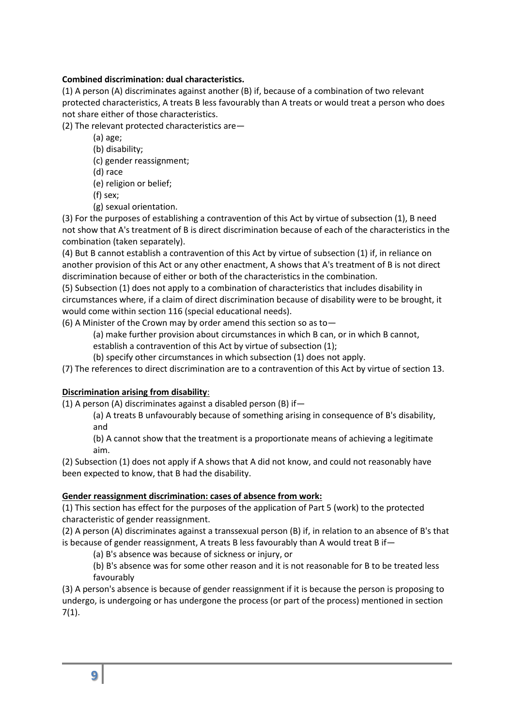# **Combined discrimination: dual characteristics.**

(1) A person (A) discriminates against another (B) if, because of a combination of two relevant protected characteristics, A treats B less favourably than A treats or would treat a person who does not share either of those characteristics.

(2) The relevant protected characteristics are—

(a) age;

- (b) disability;
- (c) gender reassignment;
- (d) race
- (e) religion or belief;
- (f) sex;
- (g) sexual orientation.

(3) For the purposes of establishing a contravention of this Act by virtue of subsection (1), B need not show that A's treatment of B is direct discrimination because of each of the characteristics in the combination (taken separately).

(4) But B cannot establish a contravention of this Act by virtue of subsection (1) if, in reliance on another provision of this Act or any other enactment, A shows that A's treatment of B is not direct discrimination because of either or both of the characteristics in the combination.

(5) Subsection (1) does not apply to a combination of characteristics that includes disability in circumstances where, if a claim of direct discrimination because of disability were to be brought, it would come within section 116 (special educational needs).

(6) A Minister of the Crown may by order amend this section so as to—

(a) make further provision about circumstances in which B can, or in which B cannot,

- establish a contravention of this Act by virtue of subsection (1);
- (b) specify other circumstances in which subsection (1) does not apply.
- (7) The references to direct discrimination are to a contravention of this Act by virtue of section 13.

# **Discrimination arising from disability**:

(1) A person (A) discriminates against a disabled person (B) if—

(a) A treats B unfavourably because of something arising in consequence of B's disability, and

(b) A cannot show that the treatment is a proportionate means of achieving a legitimate aim.

(2) Subsection (1) does not apply if A shows that A did not know, and could not reasonably have been expected to know, that B had the disability.

#### **Gender reassignment discrimination: cases of absence from work:**

(1) This section has effect for the purposes of the application of Part 5 (work) to the protected characteristic of gender reassignment.

(2) A person (A) discriminates against a transsexual person (B) if, in relation to an absence of B's that is because of gender reassignment, A treats B less favourably than A would treat B if—

(a) B's absence was because of sickness or injury, or

(b) B's absence was for some other reason and it is not reasonable for B to be treated less favourably

(3) A person's absence is because of gender reassignment if it is because the person is proposing to undergo, is undergoing or has undergone the process (or part of the process) mentioned in section 7(1).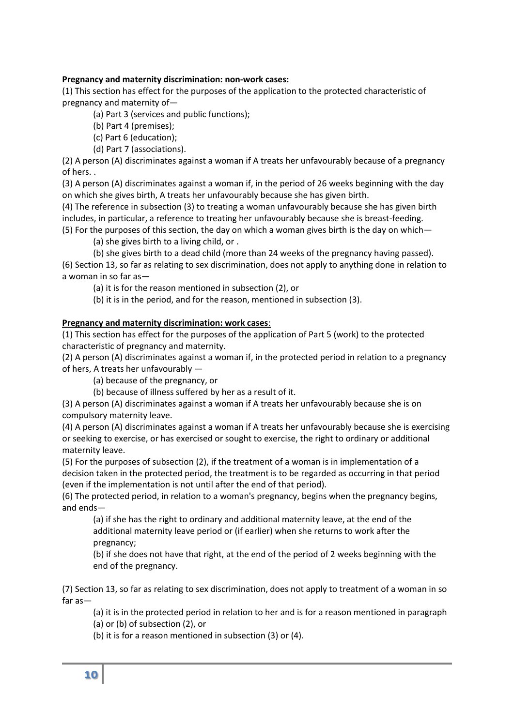### **Pregnancy and maternity discrimination: non-work cases:**

(1) This section has effect for the purposes of the application to the protected characteristic of pregnancy and maternity of—

(a) Part 3 (services and public functions);

- (b) Part 4 (premises);
- (c) Part 6 (education);
- (d) Part 7 (associations).

(2) A person (A) discriminates against a woman if A treats her unfavourably because of a pregnancy of hers. .

(3) A person (A) discriminates against a woman if, in the period of 26 weeks beginning with the day on which she gives birth, A treats her unfavourably because she has given birth.

(4) The reference in subsection (3) to treating a woman unfavourably because she has given birth includes, in particular, a reference to treating her unfavourably because she is breast-feeding.

(5) For the purposes of this section, the day on which a woman gives birth is the day on which—

(a) she gives birth to a living child, or .

(b) she gives birth to a dead child (more than 24 weeks of the pregnancy having passed).

(6) Section 13, so far as relating to sex discrimination, does not apply to anything done in relation to a woman in so far as—

(a) it is for the reason mentioned in subsection (2), or

(b) it is in the period, and for the reason, mentioned in subsection (3).

#### **Pregnancy and maternity discrimination: work cases**:

(1) This section has effect for the purposes of the application of Part 5 (work) to the protected characteristic of pregnancy and maternity.

(2) A person (A) discriminates against a woman if, in the protected period in relation to a pregnancy of hers, A treats her unfavourably —

(a) because of the pregnancy, or

(b) because of illness suffered by her as a result of it.

(3) A person (A) discriminates against a woman if A treats her unfavourably because she is on compulsory maternity leave.

(4) A person (A) discriminates against a woman if A treats her unfavourably because she is exercising or seeking to exercise, or has exercised or sought to exercise, the right to ordinary or additional maternity leave.

(5) For the purposes of subsection (2), if the treatment of a woman is in implementation of a decision taken in the protected period, the treatment is to be regarded as occurring in that period (even if the implementation is not until after the end of that period).

(6) The protected period, in relation to a woman's pregnancy, begins when the pregnancy begins, and ends—

(a) if she has the right to ordinary and additional maternity leave, at the end of the additional maternity leave period or (if earlier) when she returns to work after the pregnancy;

(b) if she does not have that right, at the end of the period of 2 weeks beginning with the end of the pregnancy.

(7) Section 13, so far as relating to sex discrimination, does not apply to treatment of a woman in so far as—

(a) it is in the protected period in relation to her and is for a reason mentioned in paragraph

(a) or (b) of subsection (2), or

(b) it is for a reason mentioned in subsection (3) or (4).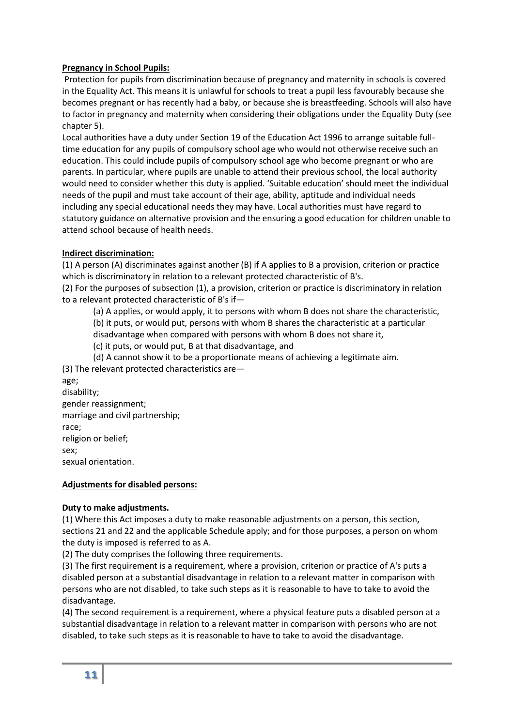### **Pregnancy in School Pupils:**

Protection for pupils from discrimination because of pregnancy and maternity in schools is covered in the Equality Act. This means it is unlawful for schools to treat a pupil less favourably because she becomes pregnant or has recently had a baby, or because she is breastfeeding. Schools will also have to factor in pregnancy and maternity when considering their obligations under the Equality Duty (see chapter 5).

Local authorities have a duty under Section 19 of the Education Act 1996 to arrange suitable fulltime education for any pupils of compulsory school age who would not otherwise receive such an education. This could include pupils of compulsory school age who become pregnant or who are parents. In particular, where pupils are unable to attend their previous school, the local authority would need to consider whether this duty is applied. 'Suitable education' should meet the individual needs of the pupil and must take account of their age, ability, aptitude and individual needs including any special educational needs they may have. Local authorities must have regard to statutory guidance on alternative provision and the ensuring a good education for children unable to attend school because of health needs.

# **Indirect discrimination:**

(1) A person (A) discriminates against another (B) if A applies to B a provision, criterion or practice which is discriminatory in relation to a relevant protected characteristic of B's.

(2) For the purposes of subsection (1), a provision, criterion or practice is discriminatory in relation to a relevant protected characteristic of B's if—

(a) A applies, or would apply, it to persons with whom B does not share the characteristic,

(b) it puts, or would put, persons with whom B shares the characteristic at a particular disadvantage when compared with persons with whom B does not share it,

(c) it puts, or would put, B at that disadvantage, and

(d) A cannot show it to be a proportionate means of achieving a legitimate aim.

(3) The relevant protected characteristics are—

age; disability; gender reassignment; marriage and civil partnership; race; religion or belief; sex; sexual orientation.

#### **Adjustments for disabled persons:**

#### **Duty to make adjustments.**

(1) Where this Act imposes a duty to make reasonable adjustments on a person, this section, sections 21 and 22 and the applicable Schedule apply; and for those purposes, a person on whom the duty is imposed is referred to as A.

(2) The duty comprises the following three requirements.

(3) The first requirement is a requirement, where a provision, criterion or practice of A's puts a disabled person at a substantial disadvantage in relation to a relevant matter in comparison with persons who are not disabled, to take such steps as it is reasonable to have to take to avoid the disadvantage.

(4) The second requirement is a requirement, where a physical feature puts a disabled person at a substantial disadvantage in relation to a relevant matter in comparison with persons who are not disabled, to take such steps as it is reasonable to have to take to avoid the disadvantage.